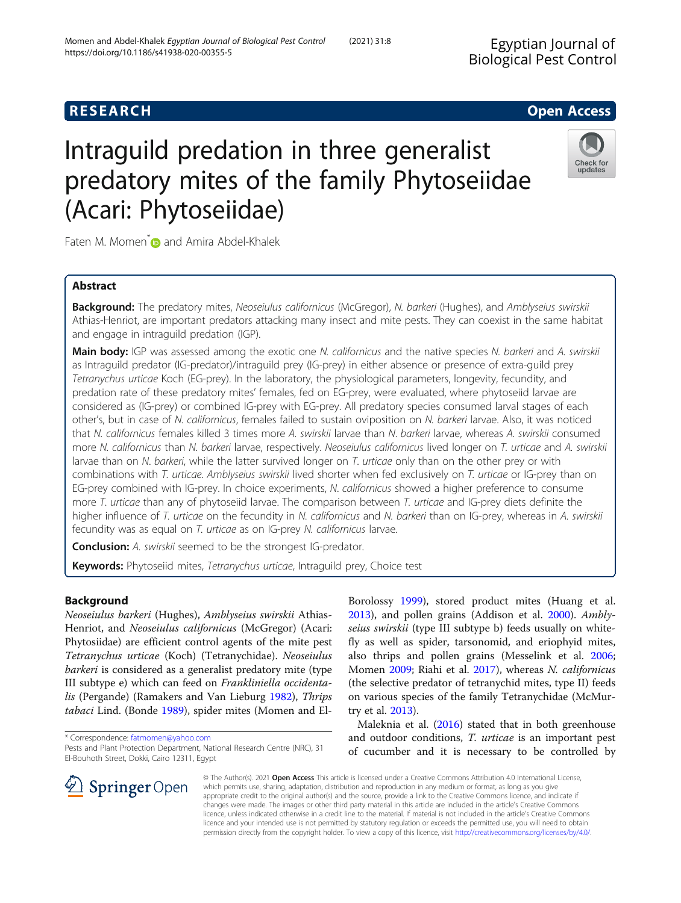Ingiral Pest Control  $\mathbf{C}$ 

# **RESEARCH CHE Open Access**

# Intraguild predation in three generalist predatory mites of the family Phytoseiidae (Acari: Phytoseiidae)



Faten M. Momen<sup>\*</sup> and Amira Abdel-Khalek

# Abstract

Background: The predatory mites, Neoseiulus californicus (McGregor), N. barkeri (Hughes), and Amblyseius swirskii Athias-Henriot, are important predators attacking many insect and mite pests. They can coexist in the same habitat and engage in intraguild predation (IGP).

Main body: IGP was assessed among the exotic one N. californicus and the native species N. barkeri and A. swirskii as Intraguild predator (IG-predator)/intraguild prey (IG-prey) in either absence or presence of extra-guild prey Tetranychus urticae Koch (EG-prey). In the laboratory, the physiological parameters, longevity, fecundity, and predation rate of these predatory mites' females, fed on EG-prey, were evaluated, where phytoseiid larvae are considered as (IG-prey) or combined IG-prey with EG-prey. All predatory species consumed larval stages of each other's, but in case of N. californicus, females failed to sustain oviposition on N. barkeri larvae. Also, it was noticed that N. californicus females killed 3 times more A. swirskii larvae than N. barkeri larvae, whereas A. swirskii consumed more N. californicus than N. barkeri larvae, respectively. Neoseiulus californicus lived longer on T. urticae and A. swirskii larvae than on N. barkeri, while the latter survived longer on T. urticae only than on the other prey or with combinations with T. urticae. Amblyseius swirskii lived shorter when fed exclusively on T. urticae or IG-prey than on EG-prey combined with IG-prey. In choice experiments, N. californicus showed a higher preference to consume more T. urticae than any of phytoseiid larvae. The comparison between T. urticae and IG-prey diets definite the higher influence of T. urticae on the fecundity in N. californicus and N. barkeri than on IG-prey, whereas in A. swirskii fecundity was as equal on T. urticae as on IG-prey N. californicus larvae.

**Conclusion:** A. swirskii seemed to be the strongest IG-predator.

Keywords: Phytoseiid mites, Tetranychus urticae, Intraguild prey, Choice test

# Background

Neoseiulus barkeri (Hughes), Amblyseius swirskii Athias-Henriot, and Neoseiulus californicus (McGregor) (Acari: Phytosiidae) are efficient control agents of the mite pest Tetranychus urticae (Koch) (Tetranychidae). Neoseiulus barkeri is considered as a generalist predatory mite (type III subtype e) which can feed on Frankliniella occidenta-lis (Pergande) (Ramakers and Van Lieburg [1982](#page-6-0)), Thrips tabaci Lind. (Bonde [1989\)](#page-5-0), spider mites (Momen and El-

\* Correspondence: [fatmomen@yahoo.com](mailto:fatmomen@yahoo.com)

SpringerOpen

Pests and Plant Protection Department, National Research Centre (NRC), 31 El-Bouhoth Street, Dokki, Cairo 12311, Egypt

Borolossy [1999\)](#page-6-0), stored product mites (Huang et al. [2013](#page-6-0)), and pollen grains (Addison et al. [2000\)](#page-5-0). Amblyseius swirskii (type III subtype b) feeds usually on whitefly as well as spider, tarsonomid, and eriophyid mites, also thrips and pollen grains (Messelink et al. [2006](#page-6-0); Momen [2009](#page-6-0); Riahi et al. [2017\)](#page-6-0), whereas N. californicus (the selective predator of tetranychid mites, type II) feeds on various species of the family Tetranychidae (McMurtry et al. [2013](#page-6-0)).

Maleknia et al. [\(2016\)](#page-6-0) stated that in both greenhouse and outdoor conditions, T. urticae is an important pest of cucumber and it is necessary to be controlled by

© The Author(s). 2021 Open Access This article is licensed under a Creative Commons Attribution 4.0 International License, which permits use, sharing, adaptation, distribution and reproduction in any medium or format, as long as you give appropriate credit to the original author(s) and the source, provide a link to the Creative Commons licence, and indicate if changes were made. The images or other third party material in this article are included in the article's Creative Commons licence, unless indicated otherwise in a credit line to the material. If material is not included in the article's Creative Commons licence and your intended use is not permitted by statutory regulation or exceeds the permitted use, you will need to obtain permission directly from the copyright holder. To view a copy of this licence, visit <http://creativecommons.org/licenses/by/4.0/>.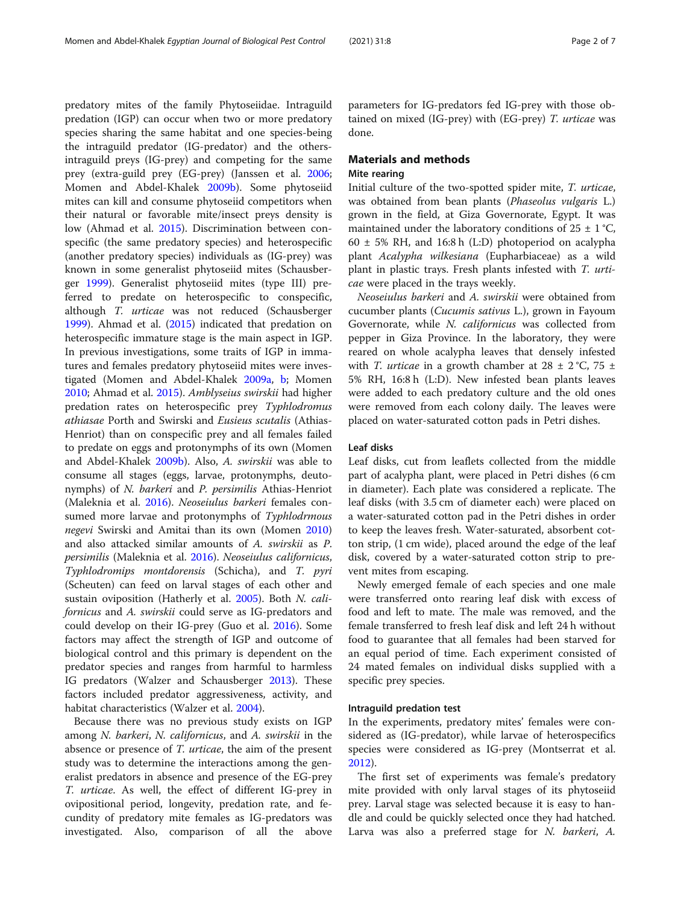predatory mites of the family Phytoseiidae. Intraguild predation (IGP) can occur when two or more predatory species sharing the same habitat and one species-being the intraguild predator (IG-predator) and the othersintraguild preys (IG-prey) and competing for the same prey (extra-guild prey (EG-prey) (Janssen et al. [2006](#page-6-0); Momen and Abdel-Khalek [2009b](#page-6-0)). Some phytoseiid mites can kill and consume phytoseiid competitors when their natural or favorable mite/insect preys density is low (Ahmad et al. [2015\)](#page-5-0). Discrimination between conspecific (the same predatory species) and heterospecific (another predatory species) individuals as (IG-prey) was known in some generalist phytoseiid mites (Schausberger [1999\)](#page-6-0). Generalist phytoseiid mites (type III) preferred to predate on heterospecific to conspecific, although T. urticae was not reduced (Schausberger [1999](#page-6-0)). Ahmad et al. [\(2015\)](#page-5-0) indicated that predation on heterospecific immature stage is the main aspect in IGP. In previous investigations, some traits of IGP in immatures and females predatory phytoseiid mites were investigated (Momen and Abdel-Khalek [2009a](#page-6-0), [b](#page-6-0); Momen [2010](#page-6-0); Ahmad et al. [2015\)](#page-5-0). Amblyseius swirskii had higher predation rates on heterospecific prey Typhlodromus athiasae Porth and Swirski and Eusieus scutalis (Athias-Henriot) than on conspecific prey and all females failed to predate on eggs and protonymphs of its own (Momen and Abdel-Khalek [2009b\)](#page-6-0). Also, A. swirskii was able to consume all stages (eggs, larvae, protonymphs, deutonymphs) of N. barkeri and P. persimilis Athias-Henriot (Maleknia et al. [2016\)](#page-6-0). Neoseiulus barkeri females consumed more larvae and protonymphs of Typhlodrmous negevi Swirski and Amitai than its own (Momen [2010](#page-6-0)) and also attacked similar amounts of A. swirskii as P. persimilis (Maleknia et al. [2016](#page-6-0)). Neoseiulus californicus, Typhlodromips montdorensis (Schicha), and T. pyri (Scheuten) can feed on larval stages of each other and sustain oviposition (Hatherly et al. [2005\)](#page-6-0). Both N. californicus and A. swirskii could serve as IG-predators and could develop on their IG-prey (Guo et al. [2016\)](#page-6-0). Some factors may affect the strength of IGP and outcome of biological control and this primary is dependent on the predator species and ranges from harmful to harmless IG predators (Walzer and Schausberger [2013](#page-6-0)). These factors included predator aggressiveness, activity, and habitat characteristics (Walzer et al. [2004](#page-6-0)).

Because there was no previous study exists on IGP among N. barkeri, N. californicus, and A. swirskii in the absence or presence of T. urticae, the aim of the present study was to determine the interactions among the generalist predators in absence and presence of the EG-prey T. urticae. As well, the effect of different IG-prey in ovipositional period, longevity, predation rate, and fecundity of predatory mite females as IG-predators was investigated. Also, comparison of all the above

parameters for IG-predators fed IG-prey with those obtained on mixed (IG-prey) with (EG-prey) T. urticae was done.

# Materials and methods Mite rearing

Initial culture of the two-spotted spider mite, T. urticae, was obtained from bean plants (Phaseolus vulgaris L.) grown in the field, at Giza Governorate, Egypt. It was maintained under the laboratory conditions of  $25 \pm 1$  °C,  $60 \pm 5\%$  RH, and 16:8 h (L:D) photoperiod on acalypha plant Acalypha wilkesiana (Eupharbiaceae) as a wild plant in plastic trays. Fresh plants infested with T. urticae were placed in the trays weekly.

Neoseiulus barkeri and A. swirskii were obtained from cucumber plants (Cucumis sativus L.), grown in Fayoum Governorate, while N. californicus was collected from pepper in Giza Province. In the laboratory, they were reared on whole acalypha leaves that densely infested with *T. urticae* in a growth chamber at  $28 \pm 2$  °C,  $75 \pm 1$ 5% RH, 16:8 h (L:D). New infested bean plants leaves were added to each predatory culture and the old ones were removed from each colony daily. The leaves were placed on water-saturated cotton pads in Petri dishes.

# Leaf disks

Leaf disks, cut from leaflets collected from the middle part of acalypha plant, were placed in Petri dishes (6 cm in diameter). Each plate was considered a replicate. The leaf disks (with 3.5 cm of diameter each) were placed on a water-saturated cotton pad in the Petri dishes in order to keep the leaves fresh. Water-saturated, absorbent cotton strip, (1 cm wide), placed around the edge of the leaf disk, covered by a water-saturated cotton strip to prevent mites from escaping.

Newly emerged female of each species and one male were transferred onto rearing leaf disk with excess of food and left to mate. The male was removed, and the female transferred to fresh leaf disk and left 24 h without food to guarantee that all females had been starved for an equal period of time. Each experiment consisted of 24 mated females on individual disks supplied with a specific prey species.

### Intraguild predation test

In the experiments, predatory mites' females were considered as (IG-predator), while larvae of heterospecifics species were considered as IG-prey (Montserrat et al. [2012](#page-6-0)).

The first set of experiments was female's predatory mite provided with only larval stages of its phytoseiid prey. Larval stage was selected because it is easy to handle and could be quickly selected once they had hatched. Larva was also a preferred stage for N. barkeri, A.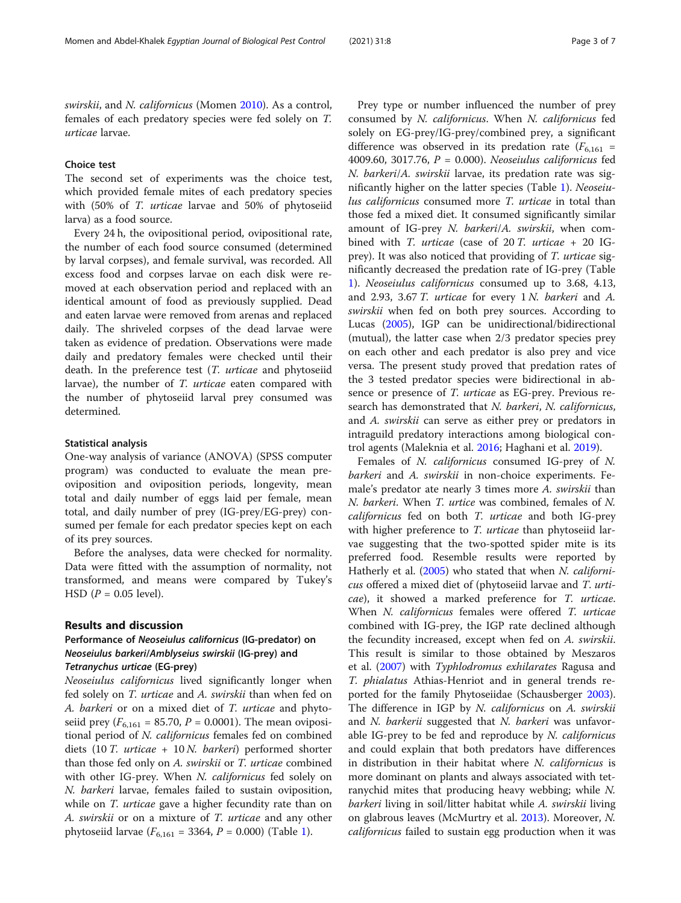swirskii, and N. californicus (Momen [2010\)](#page-6-0). As a control, females of each predatory species were fed solely on T. urticae larvae.

# Choice test

The second set of experiments was the choice test, which provided female mites of each predatory species with (50% of T. urticae larvae and 50% of phytoseiid larva) as a food source.

Every 24 h, the ovipositional period, ovipositional rate, the number of each food source consumed (determined by larval corpses), and female survival, was recorded. All excess food and corpses larvae on each disk were removed at each observation period and replaced with an identical amount of food as previously supplied. Dead and eaten larvae were removed from arenas and replaced daily. The shriveled corpses of the dead larvae were taken as evidence of predation. Observations were made daily and predatory females were checked until their death. In the preference test (T. urticae and phytoseiid larvae), the number of T. urticae eaten compared with the number of phytoseiid larval prey consumed was determined.

# Statistical analysis

One-way analysis of variance (ANOVA) (SPSS computer program) was conducted to evaluate the mean preoviposition and oviposition periods, longevity, mean total and daily number of eggs laid per female, mean total, and daily number of prey (IG-prey/EG-prey) consumed per female for each predator species kept on each of its prey sources.

Before the analyses, data were checked for normality. Data were fitted with the assumption of normality, not transformed, and means were compared by Tukey's HSD ( $P = 0.05$  level).

# Results and discussion

# Performance of Neoseiulus californicus (IG-predator) on Neoseiulus barkeri/Amblyseius swirskii (IG-prey) and Tetranychus urticae (EG-prey)

Neoseiulus californicus lived significantly longer when fed solely on T. urticae and A. swirskii than when fed on A. barkeri or on a mixed diet of T. urticae and phytoseiid prey ( $F_{6,161}$  = 85.70, P = 0.0001). The mean ovipositional period of N. californicus females fed on combined diets (10 T. urticae + 10 N. barkeri) performed shorter than those fed only on A. swirskii or T. urticae combined with other IG-prey. When N. californicus fed solely on N. barkeri larvae, females failed to sustain oviposition, while on *T. urticae* gave a higher fecundity rate than on A. swirskii or on a mixture of T. urticae and any other phytoseiid larvae ( $F_{6,161} = 3364$  $F_{6,161} = 3364$  $F_{6,161} = 3364$ ,  $P = 0.000$ ) (Table 1).

Prey type or number influenced the number of prey consumed by N. californicus. When N. californicus fed solely on EG-prey/IG-prey/combined prey, a significant difference was observed in its predation rate  $(F_{6,161} =$ 4009.60, 3017.76,  $P = 0.000$ ). Neoseiulus californicus fed N. barkeri/A. swirskii larvae, its predation rate was significantly higher on the latter species (Table [1](#page-3-0)). Neoseiulus californicus consumed more T. urticae in total than those fed a mixed diet. It consumed significantly similar amount of IG-prey N. barkeri/A. swirskii, when combined with *T. urticae* (case of 20 *T. urticae* + 20 IGprey). It was also noticed that providing of T. urticae significantly decreased the predation rate of IG-prey (Table [1\)](#page-3-0). Neoseiulus californicus consumed up to 3.68, 4.13, and 2.93, 3.67 T. urticae for every 1 N. barkeri and A. swirskii when fed on both prey sources. According to Lucas ([2005](#page-6-0)), IGP can be unidirectional/bidirectional (mutual), the latter case when 2/3 predator species prey on each other and each predator is also prey and vice versa. The present study proved that predation rates of the 3 tested predator species were bidirectional in absence or presence of T. urticae as EG-prey. Previous research has demonstrated that N. barkeri, N. californicus, and A. swirskii can serve as either prey or predators in intraguild predatory interactions among biological control agents (Maleknia et al. [2016](#page-6-0); Haghani et al. [2019\)](#page-6-0).

Females of N. californicus consumed IG-prey of N. barkeri and A. swirskii in non-choice experiments. Female's predator ate nearly 3 times more A. swirskii than N. barkeri. When T. urtice was combined, females of N. californicus fed on both T. urticae and both IG-prey with higher preference to *T. urticae* than phytoseiid larvae suggesting that the two-spotted spider mite is its preferred food. Resemble results were reported by Hatherly et al. [\(2005\)](#page-6-0) who stated that when N. californicus offered a mixed diet of (phytoseiid larvae and T. urticae), it showed a marked preference for T. urticae. When N. californicus females were offered T. urticae combined with IG-prey, the IGP rate declined although the fecundity increased, except when fed on A. swirskii. This result is similar to those obtained by Meszaros et al. [\(2007\)](#page-6-0) with Typhlodromus exhilarates Ragusa and T. phialatus Athias-Henriot and in general trends reported for the family Phytoseiidae (Schausberger [2003](#page-6-0)). The difference in IGP by N. californicus on A. swirskii and N. barkerii suggested that N. barkeri was unfavorable IG-prey to be fed and reproduce by  $N$ . *californicus* and could explain that both predators have differences in distribution in their habitat where N. californicus is more dominant on plants and always associated with tetranychid mites that producing heavy webbing; while N. barkeri living in soil/litter habitat while A. swirskii living on glabrous leaves (McMurtry et al. [2013](#page-6-0)). Moreover, N. californicus failed to sustain egg production when it was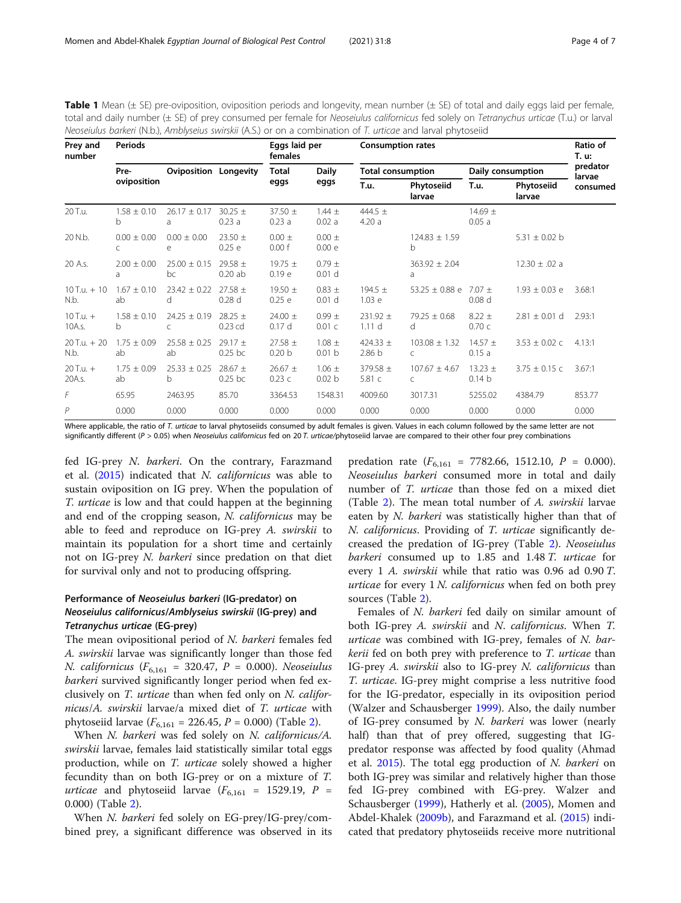<span id="page-3-0"></span>Table 1 Mean (± SE) pre-oviposition, oviposition periods and longevity, mean number (± SE) of total and daily eggs laid per female, total and daily number (± SE) of prey consumed per female for Neoseiulus californicus fed solely on Tetranychus urticae (T.u.) or larval Neoseiulus barkeri (N.b.), Amblyseius swirskii (A.S.) or on a combination of T. urticae and larval phytoseiid

| Prey and<br>number      | <b>Periods</b>        |                                  |                                  | Eggs laid per<br>females         |                                 | <b>Consumption rates</b> |                        |                                  |                      | Ratio of<br>T. u:  |
|-------------------------|-----------------------|----------------------------------|----------------------------------|----------------------------------|---------------------------------|--------------------------|------------------------|----------------------------------|----------------------|--------------------|
|                         | Pre-<br>oviposition   | <b>Oviposition Longevity</b>     |                                  | Total<br>eggs                    | <b>Daily</b><br>eggs            | <b>Total consumption</b> |                        | Daily consumption                |                      | predator<br>larvae |
|                         |                       |                                  |                                  |                                  |                                 | T.u.                     | Phytoseiid<br>larvae   | T.u.                             | Phytoseiid<br>larvae | consumed           |
| 20 T.u.                 | $1.58 \pm 0.10$<br>b  | $26.17 \pm 0.17$<br>a            | $30.25 \pm$<br>0.23a             | $37.50 \pm$<br>0.23a             | $1.44 \pm$<br>0.02a             | 444.5 $\pm$<br>4.20a     |                        | $14.69 \pm$<br>0.05a             |                      |                    |
| 20 N.b.                 | $0.00 + 0.00$<br>C    | $0.00 + 0.00$<br>e               | $23.50 \pm$<br>0.25 e            | $0.00 \pm$<br>0.00 f             | $0.00 \pm$<br>0.00 e            |                          | $124.83 + 1.59$<br>b   |                                  | 5.31 $\pm$ 0.02 b    |                    |
| 20 A.s.                 | $2.00 \pm 0.00$<br>a  | $25.00 \pm 0.15$<br>bc           | 29.58 $\pm$<br>0.20ab            | 19.75 $\pm$<br>0.19 e            | $0.79 \pm$<br>0.01 <sub>d</sub> |                          | $363.92 \pm 2.04$<br>a |                                  | $12.30 \pm .02$ a    |                    |
| $10$ T.u. $+10$<br>N.b. | $1.67 \pm 0.10$<br>ab | $23.42 \pm 0.22$<br><sub>d</sub> | $27.58 \pm$<br>0.28 <sub>d</sub> | 19.50 $\pm$<br>0.25 e            | $0.83 \pm$<br>0.01 <sub>d</sub> | 194.5 $\pm$<br>1.03 e    | $53.25 \pm 0.88$ e     | $7.07 \pm$<br>0.08 <sub>d</sub>  | $1.93 \pm 0.03$ e    | 3.68:1             |
| $10$ T.u. $+$<br>10A.s. | $1.58 \pm 0.10$<br>b  | $24.25 \pm 0.19$<br>C            | $28.25 \pm$<br>0.23 cd           | 24.00 $\pm$<br>0.17d             | $0.99 +$<br>0.01 c              | $231.92 +$<br>1.11 d     | $79.25 \pm 0.68$<br>d. | $8.22 \pm$<br>0.70c              | $2.81 \pm 0.01$ d    | 2.93:1             |
| $20$ T.u. + 20<br>N.b.  | $1.75 + 0.09$<br>ab   | $25.58 + 0.25$<br>ab             | $29.17 +$<br>$0.25$ bc           | $27.58 \pm$<br>0.20 <sub>b</sub> | $1.08 \pm$<br>0.01 <sub>b</sub> | $424.33 +$<br>2.86 b     | $103.08 + 1.32$<br>C   | $14.57 +$<br>0.15a               | $3.53 \pm 0.02$ c    | 4.13:1             |
| $20$ T.u. $+$<br>20A.s. | $1.75 \pm 0.09$<br>ab | $25.33 \pm 0.25$<br>b            | $28.67 \pm$<br>$0.25$ bc         | $26.67 \pm$<br>0.23c             | $1.06 \pm$<br>0.02 <sub>b</sub> | 379.58 $\pm$<br>5.81 c   | $107.67 \pm 4.67$<br>C | $13.23 \pm$<br>0.14 <sub>b</sub> | $3.75 \pm 0.15$ c    | 3.67:1             |
| F                       | 65.95                 | 2463.95                          | 85.70                            | 3364.53                          | 1548.31                         | 4009.60                  | 3017.31                | 5255.02                          | 4384.79              | 853.77             |
| P                       | 0.000                 | 0.000                            | 0.000                            | 0.000                            | 0.000                           | 0.000                    | 0.000                  | 0.000                            | 0.000                | 0.000              |

Where applicable, the ratio of T. urticae to larval phytoseiids consumed by adult females is given. Values in each column followed by the same letter are not significantly different ( $P > 0.05$ ) when Neoseiulus californicus fed on 20 T. urticae/phytoseiid larvae are compared to their other four prey combinations

fed IG-prey N. barkeri. On the contrary, Farazmand et al. ([2015\)](#page-5-0) indicated that N. californicus was able to sustain oviposition on IG prey. When the population of T. urticae is low and that could happen at the beginning and end of the cropping season, N. californicus may be able to feed and reproduce on IG-prey A. swirskii to maintain its population for a short time and certainly not on IG-prey N. barkeri since predation on that diet for survival only and not to producing offspring.

# Performance of Neoseiulus barkeri (IG-predator) on Neoseiulus californicus/Amblyseius swirskii (IG-prey) and Tetranychus urticae (EG-prey)

The mean ovipositional period of N. barkeri females fed A. swirskii larvae was significantly longer than those fed N. californicus ( $F_{6,161} = 320.47$ ,  $P = 0.000$ ). Neoseiulus barkeri survived significantly longer period when fed exclusively on T. urticae than when fed only on N. californicus/A. swirskii larvae/a mixed diet of T. urticae with phytoseiid larvae ( $F_{6,161} = 226.45$  $F_{6,161} = 226.45$  $F_{6,161} = 226.45$ ,  $P = 0.000$ ) (Table 2).

When *N. barkeri* was fed solely on *N. californicus/A.* swirskii larvae, females laid statistically similar total eggs production, while on T. urticae solely showed a higher fecundity than on both IG-prey or on a mixture of T. *urticae* and phytoseiid larvae ( $F_{6,161}$  = 1529.19, P = 0.000) (Table [2\)](#page-4-0).

When N. barkeri fed solely on EG-prey/IG-prey/combined prey, a significant difference was observed in its

predation rate  $(F_{6,161} = 7782.66, 1512.10, P = 0.000)$ . Neoseiulus barkeri consumed more in total and daily number of *T. urticae* than those fed on a mixed diet (Table [2\)](#page-4-0). The mean total number of A. swirskii larvae eaten by N. barkeri was statistically higher than that of N. californicus. Providing of T. urticae significantly decreased the predation of IG-prey (Table [2](#page-4-0)). Neoseiulus barkeri consumed up to 1.85 and 1.48 T. urticae for every 1 A. swirskii while that ratio was 0.96 ad 0.90 T. urticae for every  $1 N$ . californicus when fed on both prey sources (Table [2](#page-4-0)).

Females of N. barkeri fed daily on similar amount of both IG-prey A. swirskii and N. californicus. When T. urticae was combined with IG-prey, females of  $N$ . barkerii fed on both prey with preference to T. urticae than IG-prey A. swirskii also to IG-prey N. californicus than T. urticae. IG-prey might comprise a less nutritive food for the IG-predator, especially in its oviposition period (Walzer and Schausberger [1999\)](#page-6-0). Also, the daily number of IG-prey consumed by  $N$ . barkeri was lower (nearly half) than that of prey offered, suggesting that IGpredator response was affected by food quality (Ahmad et al.  $2015$ ). The total egg production of N. barkeri on both IG-prey was similar and relatively higher than those fed IG-prey combined with EG-prey. Walzer and Schausberger [\(1999](#page-6-0)), Hatherly et al. [\(2005](#page-6-0)), Momen and Abdel-Khalek [\(2009b\)](#page-6-0), and Farazmand et al. [\(2015\)](#page-5-0) indicated that predatory phytoseiids receive more nutritional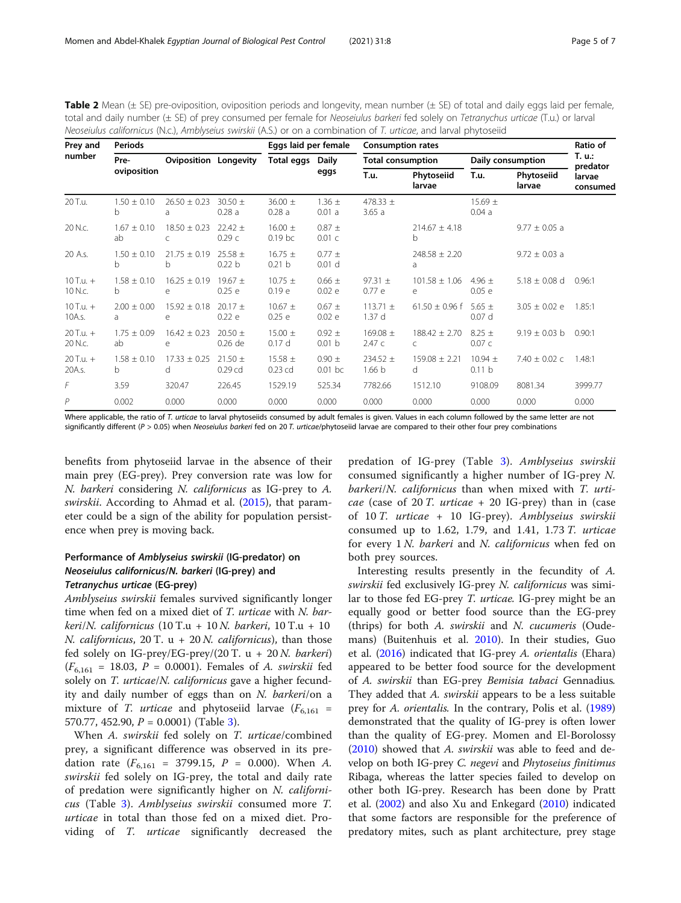<span id="page-4-0"></span>

| <b>Table 2</b> Mean (± SE) pre-oviposition, oviposition periods and longevity, mean number (± SE) of total and daily eggs laid per female, |
|--------------------------------------------------------------------------------------------------------------------------------------------|
| total and daily number (± SE) of prey consumed per female for Neoseiulus barkeri fed solely on Tetranychus urticae (T.u.) or larval        |
| Neoseiulus californicus (N.c.), Amblyseius swirskii (A.S.) or on a combination of T. urticae, and larval phytoseiid                        |

| Prey and<br>number       | Periods               |                              |                                  | Eggs laid per female             |                                 | <b>Consumption rates</b>          |                        |                       |                      | Ratio of           |
|--------------------------|-----------------------|------------------------------|----------------------------------|----------------------------------|---------------------------------|-----------------------------------|------------------------|-----------------------|----------------------|--------------------|
|                          | Pre-<br>oviposition   | <b>Oviposition Longevity</b> |                                  | Total eggs                       | Daily<br>eggs                   | <b>Total consumption</b>          |                        | Daily consumption     |                      | T. u.:<br>predator |
|                          |                       |                              |                                  |                                  |                                 | T.u.                              | Phytoseiid<br>larvae   | T.u.                  | Phytoseiid<br>larvae | larvae<br>consumed |
| 20 T.u.                  | $1.50 \pm 0.10$<br>b  | $26.50 \pm 0.23$<br>a        | $30.50 \pm$<br>0.28a             | $36.00 \pm$<br>0.28a             | $1.36 \pm$<br>0.01 a            | 478.33 $\pm$<br>3.65a             |                        | $15.69 \pm$<br>0.04a  |                      |                    |
| 20 N.C.                  | $1.67 \pm 0.10$<br>ab | $18.50 + 0.23$<br>C          | $22.42 \pm$<br>0.29c             | $16.00 \pm$<br>$0.19$ bc         | $0.87 \pm$<br>0.01 c            |                                   | $214.67 \pm 4.18$<br>b |                       | $9.77 \pm 0.05$ a    |                    |
| 20 A.s.                  | $1.50 + 0.10$<br>b    | $21.75 \pm 0.19$<br>b        | $25.58 \pm$<br>0.22 <sub>b</sub> | $16.75 \pm$<br>0.21 <sub>b</sub> | $0.77 \pm$<br>0.01 <sub>d</sub> |                                   | $248.58 \pm 2.20$<br>a |                       | $9.72 \pm 0.03$ a    |                    |
| $10$ T.u. $+$<br>10 N.c. | $1.58 \pm 0.10$<br>b. | $16.25 \pm 0.19$<br>e        | 19.67 $\pm$<br>0.25 e            | $10.75 \pm$<br>0.19 <sub>e</sub> | $0.66 \pm$<br>0.02 e            | 97.31 $\pm$<br>0.77 e             | $101.58 \pm 1.06$<br>e | 4.96 $\pm$<br>0.05 e  | $5.18 \pm 0.08$ d    | 0.96:1             |
| $10$ T.u. +<br>10A.s.    | $2.00 \pm 0.00$<br>a  | $15.92 + 0.18$<br>e          | $20.17 \pm$<br>0.22e             | $10.67 \pm$<br>0.25 e            | $0.67 \pm$<br>0.02 e            | $113.71 \pm$<br>1.37 <sub>d</sub> | $61.50 \pm 0.96$ f     | 5.65 $\pm$<br>0.07 d  | $3.05 \pm 0.02$ e    | 1.85:1             |
| $20$ T.u. $+$<br>20 N.c. | $1.75 \pm 0.09$<br>ab | $16.42 \pm 0.23$<br>e        | $20.50 \pm$<br>0.26 de           | $15.00 \pm$<br>0.17d             | $0.92 \pm$<br>0.01 <sub>b</sub> | 169.08 $\pm$<br>2.47c             | $188.42 \pm 2.70$<br>C | $8.25 \pm$<br>0.07c   | $9.19 \pm 0.03$ b    | 0.90:1             |
| $20$ T.u. +<br>20A.s.    | $1.58 \pm 0.10$<br>b. | $17.33 + 0.25$<br>d          | $21.50 \pm$<br>$0.29$ cd         | $15.58 \pm$<br>$0.23$ cd         | $0.90 \pm$<br>$0.01$ bc         | 234.52 $\pm$<br>1.66 b            | $159.08 + 2.21$<br>d   | $10.94 \pm$<br>0.11 b | $7.40 \pm 0.02$ c    | 1.48:1             |
| F                        | 3.59                  | 320.47                       | 226.45                           | 1529.19                          | 525.34                          | 7782.66                           | 1512.10                | 9108.09               | 8081.34              | 3999.77            |
| P                        | 0.002                 | 0.000                        | 0.000                            | 0.000                            | 0.000                           | 0.000                             | 0.000                  | 0.000                 | 0.000                | 0.000              |

Where applicable, the ratio of T. urticae to larval phytoseiids consumed by adult females is given. Values in each column followed by the same letter are not significantly different ( $P > 0.05$ ) when Neoseiulus barkeri fed on 20 T. urticae/phytoseiid larvae are compared to their other four prey combinations

benefits from phytoseiid larvae in the absence of their main prey (EG-prey). Prey conversion rate was low for N. barkeri considering N. californicus as IG-prey to A. swirskii. According to Ahmad et al. [\(2015](#page-5-0)), that parameter could be a sign of the ability for population persistence when prey is moving back.

# Performance of Amblyseius swirskii (IG-predator) on Neoseiulus californicus/N. barkeri (IG-prey) and Tetranychus urticae (EG-prey)

Amblyseius swirskii females survived significantly longer time when fed on a mixed diet of T. urticae with N. barkeri/N. californicus (10 T.u + 10 N. barkeri, 10 T.u + 10 N. californicus, 20 T. u + 20 N. californicus), than those fed solely on IG-prey/EG-prey/(20 T. u + 20 N. barkeri)  $(F_{6,161} = 18.03, P = 0.0001)$ . Females of A. swirskii fed solely on T. urticae/N. californicus gave a higher fecundity and daily number of eggs than on N. barkeri/on a mixture of T. *urticae* and phytoseiid larvae  $(F_{6,161} =$ 570.77, 452.90,  $P = 0.0001$ ) (Table [3](#page-5-0)).

When A. swirskii fed solely on T. urticae/combined prey, a significant difference was observed in its predation rate  $(F_{6,161} = 3799.15, P = 0.000)$ . When A. swirskii fed solely on IG-prey, the total and daily rate of predation were significantly higher on N. californicus (Table [3](#page-5-0)). Amblyseius swirskii consumed more T. urticae in total than those fed on a mixed diet. Providing of T. urticae significantly decreased the

predation of IG-prey (Table [3\)](#page-5-0). Amblyseius swirskii consumed significantly a higher number of IG-prey N. barkeri/N. californicus than when mixed with T. urti*cae* (case of 20 T. *urticae* + 20 IG-prey) than in (case of 10 T. urticae + 10 IG-prey). Amblyseius swirskii consumed up to 1.62, 1.79, and 1.41, 1.73  $T.$  urticae for every 1 N. barkeri and N. californicus when fed on both prey sources.

Interesting results presently in the fecundity of A. swirskii fed exclusively IG-prey N. californicus was similar to those fed EG-prey T. urticae. IG-prey might be an equally good or better food source than the EG-prey (thrips) for both A. swirskii and N. cucumeris (Oudemans) (Buitenhuis et al. [2010](#page-5-0)). In their studies, Guo et al. [\(2016\)](#page-6-0) indicated that IG-prey A. orientalis (Ehara) appeared to be better food source for the development of A. swirskii than EG-prey Bemisia tabaci Gennadius. They added that A. *swirskii* appears to be a less suitable prey for A. orientalis. In the contrary, Polis et al. ([1989](#page-6-0)) demonstrated that the quality of IG-prey is often lower than the quality of EG-prey. Momen and El-Borolossy ([2010\)](#page-6-0) showed that A. swirskii was able to feed and develop on both IG-prey C. negevi and Phytoseius finitimus Ribaga, whereas the latter species failed to develop on other both IG-prey. Research has been done by Pratt et al. ([2002](#page-6-0)) and also Xu and Enkegard ([2010\)](#page-6-0) indicated that some factors are responsible for the preference of predatory mites, such as plant architecture, prey stage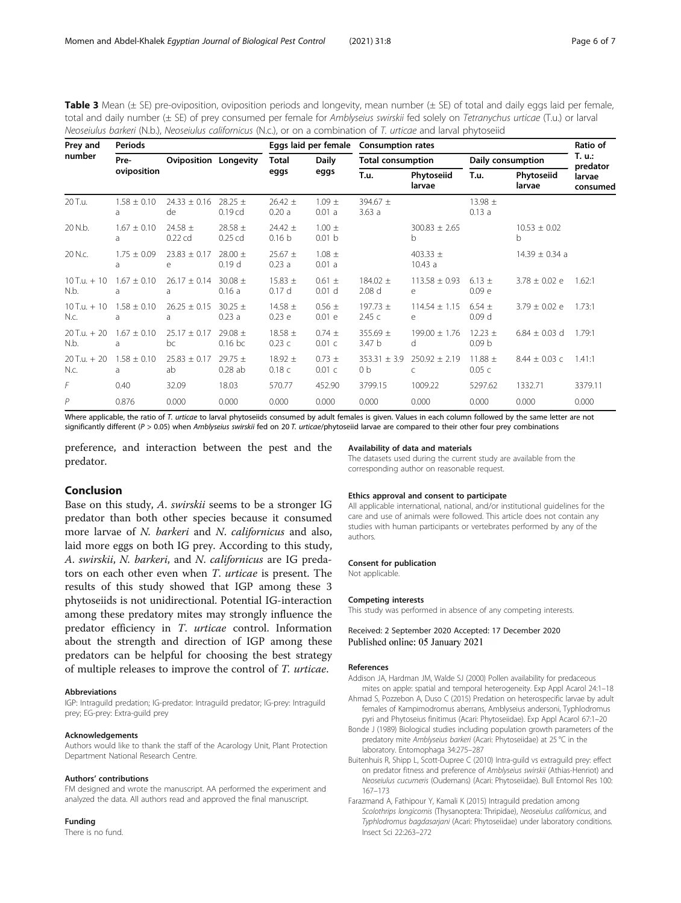<span id="page-5-0"></span>**Table 3** Mean ( $\pm$  SE) pre-oviposition, oviposition periods and longevity, mean number ( $\pm$  SE) of total and daily eggs laid per female, total and daily number (± SE) of prey consumed per female for Amblyseius swirskii fed solely on Tetranychus urticae (T.u.) or larval Neoseiulus barkeri (N.b.), Neoseiulus californicus (N.c.), or on a combination of T. urticae and larval phytoseiid

| Prey and<br>number      | <b>Periods</b>       |                              |                                   |                                  | Eggs laid per female            | <b>Consumption rates</b>          |                         |                                  |                      | Ratio of           |
|-------------------------|----------------------|------------------------------|-----------------------------------|----------------------------------|---------------------------------|-----------------------------------|-------------------------|----------------------------------|----------------------|--------------------|
|                         | Pre-<br>oviposition  | <b>Oviposition Longevity</b> |                                   | <b>Total</b><br>eggs             | <b>Daily</b><br>eggs            | <b>Total consumption</b>          |                         | Daily consumption                |                      | T. u.:<br>predator |
|                         |                      |                              |                                   |                                  |                                 | T.u.                              | Phytoseiid<br>larvae    | T.u.                             | Phytoseiid<br>larvae | larvae<br>consumed |
| 20 T.u.                 | $1.58 \pm 0.10$<br>a | $24.33 \pm 0.16$<br>de       | $28.25 \pm$<br>0.19 <sub>cd</sub> | $26.42 \pm$<br>0.20a             | $1.09 \pm$<br>0.01a             | 394.67 $\pm$<br>3.63a             |                         | 13.98 $\pm$<br>0.13a             |                      |                    |
| 20 N.b.                 | $1.67 \pm 0.10$<br>a | 24.58 $\pm$<br>$0.22$ cd     | 28.58 $\pm$<br>$0.25$ cd          | $24.42 \pm$<br>0.16 <sub>b</sub> | $1.00 \pm$<br>0.01 b            |                                   | $300.83 \pm 2.65$<br>b. |                                  | $10.53 + 0.02$<br>b  |                    |
| 20 N.c.                 | $1.75 + 0.09$<br>a   | $23.83 + 0.17$<br>e          | $28.00 \pm$<br>0.19 <sub>d</sub>  | $25.67 \pm$<br>0.23a             | $1.08 \pm$<br>0.01a             |                                   | 403.33 $\pm$<br>10.43a  |                                  | $14.39 \pm 0.34$ a   |                    |
| $10$ T.u. $+10$<br>N.b. | $1.67 \pm 0.10$<br>a | $26.17 \pm 0.14$<br>a        | $30.08 \pm$<br>0.16a              | $15.83 \pm$<br>0.17d             | $0.61 \pm$<br>0.01 <sub>d</sub> | $184.02 \pm$<br>2.08 <sub>d</sub> | $113.58 \pm 0.93$<br>e  | $6.13 \pm$<br>0.09 e             | $3.78 \pm 0.02$ e    | 1.62:1             |
| $10$ T.u. $+10$<br>N.c. | $1.58 \pm 0.10$<br>a | $26.25 \pm 0.15$<br>a        | $30.25 \pm$<br>0.23a              | 14.58 $\pm$<br>0.23 e            | $0.56 \pm$<br>0.01 e            | $197.73 \pm$<br>2.45c             | $114.54 \pm 1.15$<br>e  | $6.54 \pm$<br>0.09 <sub>d</sub>  | $3.79 \pm 0.02$ e    | 1.73:1             |
| $20$ T.u. + 20<br>N.b.  | $1.67 \pm 0.10$<br>a | $25.17 + 0.17$<br>bc         | $29.08 \pm$<br>$0.16$ bc          | 18.58 $\pm$<br>0.23c             | $0.74 +$<br>0.01 c              | 355.69 $\pm$<br>3.47 b            | $199.00 \pm 1.76$<br>d  | $12.23 \pm$<br>0.09 <sub>b</sub> | $6.84 \pm 0.03$ d    | 1.79:1             |
| $20$ T.u. + 20<br>N.c.  | $1.58 \pm 0.10$<br>a | $25.83 \pm 0.17$<br>ab       | $29.75 \pm$<br>0.28ab             | 18.92 $\pm$<br>0.18c             | $0.73 \pm$<br>0.01 c            | $353.31 \pm 3.9$<br>0b            | $250.92 + 2.19$<br>C    | 11.88 $\pm$<br>0.05c             | $8.44 \pm 0.03$ c    | 1.41:1             |
| F                       | 0.40                 | 32.09                        | 18.03                             | 570.77                           | 452.90                          | 3799.15                           | 1009.22                 | 5297.62                          | 1332.71              | 3379.11            |
| P                       | 0.876                | 0.000                        | 0.000                             | 0.000                            | 0.000                           | 0.000                             | 0.000                   | 0.000                            | 0.000                | 0.000              |

Where applicable, the ratio of T. urticae to larval phytoseiids consumed by adult females is given. Values in each column followed by the same letter are not significantly different ( $P > 0.05$ ) when Amblyseius swirskii fed on 20 T. urticae/phytoseiid larvae are compared to their other four prey combinations

preference, and interaction between the pest and the predator.

# Conclusion

Base on this study, A. swirskii seems to be a stronger IG predator than both other species because it consumed more larvae of *N. barkeri* and *N. californicus* and also, laid more eggs on both IG prey. According to this study, A. swirskii, N. barkeri, and N. californicus are IG predators on each other even when T. urticae is present. The results of this study showed that IGP among these 3 phytoseiids is not unidirectional. Potential IG-interaction among these predatory mites may strongly influence the predator efficiency in T. urticae control. Information about the strength and direction of IGP among these predators can be helpful for choosing the best strategy of multiple releases to improve the control of T. urticae.

#### Abbreviations

IGP: Intraguild predation; IG-predator: Intraguild predator; IG-prey: Intraguild prey; EG-prey: Extra-guild prey

#### Acknowledgements

Authors would like to thank the staff of the Acarology Unit, Plant Protection Department National Research Centre.

#### Authors' contributions

FM designed and wrote the manuscript. AA performed the experiment and analyzed the data. All authors read and approved the final manuscript.

# Funding

There is no fund.

#### Availability of data and materials

The datasets used during the current study are available from the corresponding author on reasonable request.

#### Ethics approval and consent to participate

All applicable international, national, and/or institutional guidelines for the care and use of animals were followed. This article does not contain any studies with human participants or vertebrates performed by any of the authors.

#### Consent for publication

Not applicable.

#### Competing interests

This study was performed in absence of any competing interests.

Received: 2 September 2020 Accepted: 17 December 2020 Published online: 05 January 2021

#### References

Addison JA, Hardman JM, Walde SJ (2000) Pollen availability for predaceous mites on apple: spatial and temporal heterogeneity. Exp Appl Acarol 24:1–18

- Ahmad S, Pozzebon A, Duso C (2015) Predation on heterospecific larvae by adult females of Kampimodromus aberrans, Amblyseius andersoni, Typhlodromus
- pyri and Phytoseius finitimus (Acari: Phytoseiidae). Exp Appl Acarol 67:1–20 Bonde J (1989) Biological studies including population growth parameters of the predatory mite Amblyseius barkeri (Acari: Phytoseiidae) at 25 °C in the laboratory. Entomophaga 34:275–287
- Buitenhuis R, Shipp L, Scott-Dupree C (2010) Intra-guild vs extraguild prey: effect on predator fitness and preference of Amblyseius swirskii (Athias-Henriot) and Neoseiulus cucumeris (Oudemans) (Acari: Phytoseiidae). Bull Entomol Res 100: 167–173
- Farazmand A, Fathipour Y, Kamali K (2015) Intraguild predation among Scolothrips longicornis (Thysanoptera: Thripidae), Neoseiulus californicus, and Typhlodromus bagdasarjani (Acari: Phytoseiidae) under laboratory conditions. Insect Sci 22:263–272